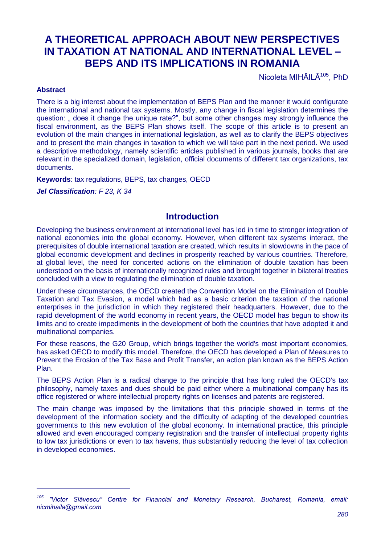# **A THEORETICAL APPROACH ABOUT NEW PERSPECTIVES IN TAXATION AT NATIONAL AND INTERNATIONAL LEVEL – BEPS AND ITS IMPLICATIONS IN ROMANIA**

Nicoleta MIHĂILĂ<sup>105</sup>, PhD

#### **Abstract**

-

There is a big interest about the implementation of BEPS Plan and the manner it would configurate the international and national tax systems. Mostly, any change in fiscal legislation determines the question: " does it change the unique rate?", but some other changes may strongly influence the fiscal environment, as the BEPS Plan shows itself. The scope of this article is to present an evolution of the main changes in international legislation, as well as to clarify the BEPS objectives and to present the main changes in taxation to which we will take part in the next period. We used a descriptive methodology, namely scientific articles published in various journals, books that are relevant in the specialized domain, legislation, official documents of different tax organizations, tax documents.

**Keywords**: tax regulations, BEPS, tax changes, OECD

*Jel Classification: F 23, K 34*

### **Introduction**

Developing the business environment at international level has led in time to stronger integration of national economies into the global economy. However, when different tax systems interact, the prerequisites of double international taxation are created, which results in slowdowns in the pace of global economic development and declines in prosperity reached by various countries. Therefore, at global level, the need for concerted actions on the elimination of double taxation has been understood on the basis of internationally recognized rules and brought together in bilateral treaties concluded with a view to regulating the elimination of double taxation.

Under these circumstances, the OECD created the Convention Model on the Elimination of Double Taxation and Tax Evasion, a model which had as a basic criterion the taxation of the national enterprises in the jurisdiction in which they registered their headquarters. However, due to the rapid development of the world economy in recent years, the OECD model has begun to show its limits and to create impediments in the development of both the countries that have adopted it and multinational companies.

For these reasons, the G20 Group, which brings together the world's most important economies, has asked OECD to modify this model. Therefore, the OECD has developed a Plan of Measures to Prevent the Erosion of the Tax Base and Profit Transfer, an action plan known as the BEPS Action Plan.

The BEPS Action Plan is a radical change to the principle that has long ruled the OECD's tax philosophy, namely taxes and dues should be paid either where a multinational company has its office registered or where intellectual property rights on licenses and patents are registered.

The main change was imposed by the limitations that this principle showed in terms of the development of the information society and the difficulty of adapting of the developed countries governments to this new evolution of the global economy. In international practice, this principle allowed and even encouraged company registration and the transfer of intellectual property rights to low tax jurisdictions or even to tax havens, thus substantially reducing the level of tax collection in developed economies.

*<sup>105</sup> "Victor Slăvescu" Centre for Financial and Monetary Research, Bucharest, Romania, email: nicmihaila@gmail.com*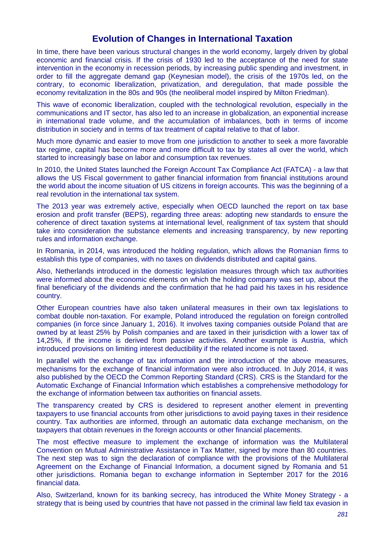# **Evolution of Changes in International Taxation**

In time, there have been various structural changes in the world economy, largely driven by global economic and financial crisis. If the crisis of 1930 led to the acceptance of the need for state intervention in the economy in recession periods, by increasing public spending and investment, in order to fill the aggregate demand gap (Keynesian model), the crisis of the 1970s led, on the contrary, to economic liberalization, privatization, and deregulation, that made possible the economy revitalization in the 80s and 90s (the neoliberal model inspired by Milton Friedman).

This wave of economic liberalization, coupled with the technological revolution, especially in the communications and IT sector, has also led to an increase in globalization, an exponential increase in international trade volume, and the accumulation of imbalances, both in terms of income distribution in society and in terms of tax treatment of capital relative to that of labor.

Much more dynamic and easier to move from one jurisdiction to another to seek a more favorable tax regime, capital has become more and more difficult to tax by states all over the world, which started to increasingly base on labor and consumption tax revenues.

In 2010, the United States launched the Foreign Account Tax Compliance Act (FATCA) - a law that allows the US Fiscal government to gather financial information from financial institutions around the world about the income situation of US citizens in foreign accounts. This was the beginning of a real revolution in the international tax system.

The 2013 year was extremely active, especially when OECD launched the report on tax base erosion and profit transfer (BEPS), regarding three areas: adopting new standards to ensure the coherence of direct taxation systems at international level, realignment of tax system that should take into consideration the substance elements and increasing transparency, by new reporting rules and information exchange.

In Romania, in 2014, was introduced the holding regulation, which allows the Romanian firms to establish this type of companies, with no taxes on dividends distributed and capital gains.

Also, Netherlands introduced in the domestic legislation measures through which tax authorities were informed about the economic elements on which the holding company was set up, about the final beneficiary of the dividends and the confirmation that he had paid his taxes in his residence country.

Other European countries have also taken unilateral measures in their own tax legislations to combat double non-taxation. For example, Poland introduced the regulation on foreign controlled companies (in force since January 1, 2016). It involves taxing companies outside Poland that are owned by at least 25% by Polish companies and are taxed in their jurisdiction with a lower tax of 14,25%, if the income is derived from passive activities. Another example is Austria, which introduced provisions on limiting interest deductibility if the related income is not taxed.

In parallel with the exchange of tax information and the introduction of the above measures, mechanisms for the exchange of financial information were also introduced. In July 2014, it was also published by the OECD the Common Reporting Standard (CRS). CRS is the Standard for the Automatic Exchange of Financial Information which establishes a comprehensive methodology for the exchange of information between tax authorities on financial assets.

The transparency created by CRS is desidered to represent another element in preventing taxpayers to use financial accounts from other jurisdictions to avoid paying taxes in their residence country. Tax authorities are informed, through an automatic data exchange mechanism, on the taxpayers that obtain revenues in the foreign accounts or other financial placements.

The most effective measure to implement the exchange of information was the Multilateral Convention on Mutual Administrative Assistance in Tax Matter, signed by more than 80 countries. The next step was to sign the declaration of compliance with the provisions of the Multilateral Agreement on the Exchange of Financial Information, a document signed by Romania and 51 other jurisdictions. Romania began to exchange information in September 2017 for the 2016 financial data.

Also, Switzerland, known for its banking secrecy, has introduced the White Money Strategy - a strategy that is being used by countries that have not passed in the criminal law field tax evasion in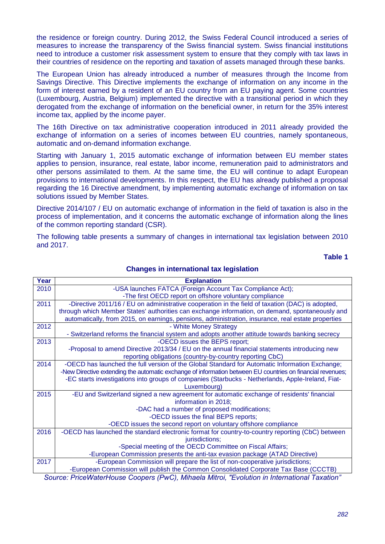the residence or foreign country. During 2012, the Swiss Federal Council introduced a series of measures to increase the transparency of the Swiss financial system. Swiss financial institutions need to introduce a customer risk assessment system to ensure that they comply with tax laws in their countries of residence on the reporting and taxation of assets managed through these banks.

The European Union has already introduced a number of measures through the Income from Savings Directive. This Directive implements the exchange of information on any income in the form of interest earned by a resident of an EU country from an EU paying agent. Some countries (Luxembourg, Austria, Belgium) implemented the directive with a transitional period in which they derogated from the exchange of information on the beneficial owner, in return for the 35% interest income tax, applied by the income payer.

The 16th Directive on tax administrative cooperation introduced in 2011 already provided the exchange of information on a series of incomes between EU countries, namely spontaneous, automatic and on-demand information exchange.

Starting with January 1, 2015 automatic exchange of information between EU member states applies to pension, insurance, real estate, labor income, remuneration paid to administrators and other persons assimilated to them. At the same time, the EU will continue to adapt European provisions to international developments. In this respect, the EU has already published a proposal regarding the 16 Directive amendment, by implementing automatic exchange of information on tax solutions issued by Member States.

Directive 2014/107 / EU on automatic exchange of information in the field of taxation is also in the process of implementation, and it concerns the automatic exchange of information along the lines of the common reporting standard (CSR).

The following table presents a summary of changes in international tax legislation between 2010 and 2017.

**Table 1**

| Year   | <b>Explanation</b>                                                                                         |
|--------|------------------------------------------------------------------------------------------------------------|
| 2010   | -USA launches FATCA (Foreign Account Tax Compliance Act);                                                  |
|        | -The first OECD report on offshore voluntary compliance                                                    |
| 2011   | -Directive 2011/16 / EU on administrative cooperation in the field of taxation (DAC) is adopted,           |
|        | through which Member States' authorities can exchange information, on demand, spontaneously and            |
|        | automatically, from 2015, on earnings, pensions, administration, insurance, real estate properties         |
| 2012   | - White Money Strategy                                                                                     |
|        | - Switzerland reforms the financial system and adopts another attitude towards banking secrecy             |
| 2013   | -OECD issues the BEPS report;                                                                              |
|        | -Proposal to amend Directive 2013/34 / EU on the annual financial statements introducing new               |
|        | reporting obligations (country-by-country reporting CbC)                                                   |
| 2014   | -OECD has launched the full version of the Global Standard for Automatic Information Exchange;             |
|        | -New Directive extending the automatic exchange of information between EU countries on financial revenues; |
|        | -EC starts investigations into groups of companies (Starbucks - Netherlands, Apple-Ireland, Fiat-          |
|        | Luxembourg)                                                                                                |
| 2015   | -EU and Switzerland signed a new agreement for automatic exchange of residents' financial                  |
|        | information in 2018;                                                                                       |
|        | -DAC had a number of proposed modifications;                                                               |
|        | -OECD issues the final BEPS reports;                                                                       |
|        | -OECD issues the second report on voluntary offshore compliance                                            |
| 2016   | -OECD has launched the standard electronic format for country-to-country reporting (CbC) between           |
|        | jurisdictions;                                                                                             |
|        | -Special meeting of the OECD Committee on Fiscal Affairs;                                                  |
|        | -European Commission presents the anti-tax evasion package (ATAD Directive)                                |
| 2017   | -European Commission will prepare the list of non-cooperative jurisdictions;                               |
| $\sim$ | -European Commission will publish the Common Consolidated Corporate Tax Base (CCCTB)                       |

#### **Changes in international tax legislation**

*Source: PriceWaterHouse Coopers (PwC), Mihaela Mitroi, "Evolution in International Taxation"*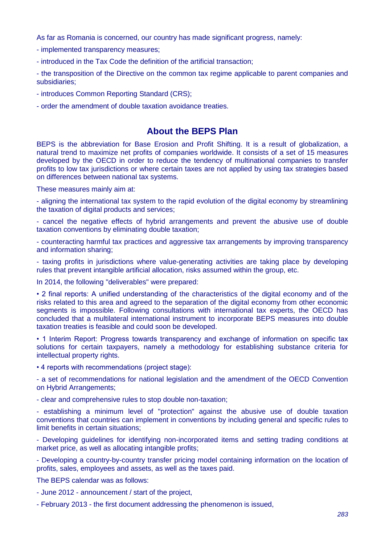As far as Romania is concerned, our country has made significant progress, namely:

- implemented transparency measures;

- introduced in the Tax Code the definition of the artificial transaction;

- the transposition of the Directive on the common tax regime applicable to parent companies and subsidiaries;

- introduces Common Reporting Standard (CRS);

- order the amendment of double taxation avoidance treaties.

# **About the BEPS Plan**

BEPS is the abbreviation for Base Erosion and Profit Shifting. It is a result of globalization, a natural trend to maximize net profits of companies worldwide. It consists of a set of 15 measures developed by the OECD in order to reduce the tendency of multinational companies to transfer profits to low tax jurisdictions or where certain taxes are not applied by using tax strategies based on differences between national tax systems.

These measures mainly aim at:

- aligning the international tax system to the rapid evolution of the digital economy by streamlining the taxation of digital products and services;

- cancel the negative effects of hybrid arrangements and prevent the abusive use of double taxation conventions by eliminating double taxation;

- counteracting harmful tax practices and aggressive tax arrangements by improving transparency and information sharing;

- taxing profits in jurisdictions where value-generating activities are taking place by developing rules that prevent intangible artificial allocation, risks assumed within the group, etc.

In 2014, the following "deliverables" were prepared:

• 2 final reports: A unified understanding of the characteristics of the digital economy and of the risks related to this area and agreed to the separation of the digital economy from other economic segments is impossible. Following consultations with international tax experts, the OECD has concluded that a multilateral international instrument to incorporate BEPS measures into double taxation treaties is feasible and could soon be developed.

• 1 Interim Report: Progress towards transparency and exchange of information on specific tax solutions for certain taxpayers, namely a methodology for establishing substance criteria for intellectual property rights.

• 4 reports with recommendations (project stage):

- a set of recommendations for national legislation and the amendment of the OECD Convention on Hybrid Arrangements;

- clear and comprehensive rules to stop double non-taxation;

- establishing a minimum level of "protection" against the abusive use of double taxation conventions that countries can implement in conventions by including general and specific rules to limit benefits in certain situations;

- Developing guidelines for identifying non-incorporated items and setting trading conditions at market price, as well as allocating intangible profits;

- Developing a country-by-country transfer pricing model containing information on the location of profits, sales, employees and assets, as well as the taxes paid.

The BEPS calendar was as follows:

- June 2012 - announcement / start of the project,

- February 2013 - the first document addressing the phenomenon is issued,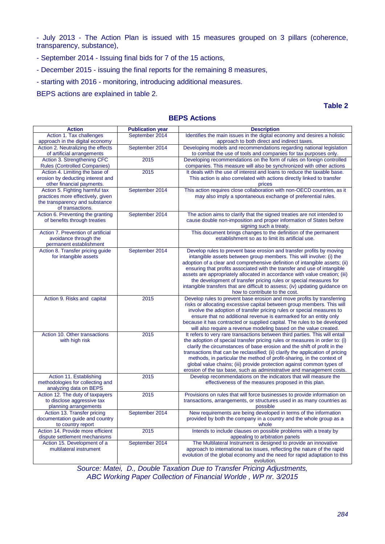- July 2013 - The Action Plan is issued with 15 measures grouped on 3 pillars (coherence, transparency, substance),

- September 2014 Issuing final bids for 7 of the 15 actions,
- December 2015 issuing the final reports for the remaining 8 measures,
- starting with 2016 monitoring, introducing additional measures.

BEPS actions are explained in table 2.

**Table 2**

| <b>Action</b><br><b>Publication year</b><br><b>Description</b><br>September 2014<br>Action 1. Tax challenges<br>Identifies the main issues in the digital economy and desires a holistic<br>approach in the digital economy<br>approach to both direct and indirect taxes.<br>Action 2. Neutralizing the effects<br>September 2014<br>Developing models and recommendations regarding national legislation<br>of artificial arrangements<br>to combat the use of tools and companies for tax purposes only.<br>Action 3. Strengthening CFC<br>2015<br>Developing recommendations on the form of rules on foreign controlled<br><b>Rules (Controlled Companies)</b><br>companies. This measure will also be synchronized with other actions<br>Action 4. Limiting the base of<br>2015<br>It deals with the use of interest and loans to reduce the taxable base.<br>erosion by deducting interest and<br>This action is also correlated with actions directly linked to transfer<br>other financial payments.<br>prices<br>Action 5. Fighting harmful tax<br>September 2014<br>This action requires close collaboration with non-OECD countries, as it<br>practices more effectively, given<br>may also imply a spontaneous exchange of preferential rules.<br>the transparency and substance<br>of transactions.<br>Action 6. Preventing the granting<br>September 2014<br>The action aims to clarify that the signed treaties are not intended to<br>of benefits through treaties<br>cause double non-imposition and proper information of States before<br>signing such a treaty.<br>Action 7. Prevention of artificial<br>This document brings changes to the definition of the permanent<br>avoidance through the<br>establishment so as to limit its artificial use.<br>permanent establishment<br>Action 8. Transfer pricing guide<br>September 2014<br>Develop rules to prevent base erosion and transfer profits by moving |
|------------------------------------------------------------------------------------------------------------------------------------------------------------------------------------------------------------------------------------------------------------------------------------------------------------------------------------------------------------------------------------------------------------------------------------------------------------------------------------------------------------------------------------------------------------------------------------------------------------------------------------------------------------------------------------------------------------------------------------------------------------------------------------------------------------------------------------------------------------------------------------------------------------------------------------------------------------------------------------------------------------------------------------------------------------------------------------------------------------------------------------------------------------------------------------------------------------------------------------------------------------------------------------------------------------------------------------------------------------------------------------------------------------------------------------------------------------------------------------------------------------------------------------------------------------------------------------------------------------------------------------------------------------------------------------------------------------------------------------------------------------------------------------------------------------------------------------------------------------------------------------------------------------------------------------|
|                                                                                                                                                                                                                                                                                                                                                                                                                                                                                                                                                                                                                                                                                                                                                                                                                                                                                                                                                                                                                                                                                                                                                                                                                                                                                                                                                                                                                                                                                                                                                                                                                                                                                                                                                                                                                                                                                                                                    |
|                                                                                                                                                                                                                                                                                                                                                                                                                                                                                                                                                                                                                                                                                                                                                                                                                                                                                                                                                                                                                                                                                                                                                                                                                                                                                                                                                                                                                                                                                                                                                                                                                                                                                                                                                                                                                                                                                                                                    |
|                                                                                                                                                                                                                                                                                                                                                                                                                                                                                                                                                                                                                                                                                                                                                                                                                                                                                                                                                                                                                                                                                                                                                                                                                                                                                                                                                                                                                                                                                                                                                                                                                                                                                                                                                                                                                                                                                                                                    |
|                                                                                                                                                                                                                                                                                                                                                                                                                                                                                                                                                                                                                                                                                                                                                                                                                                                                                                                                                                                                                                                                                                                                                                                                                                                                                                                                                                                                                                                                                                                                                                                                                                                                                                                                                                                                                                                                                                                                    |
|                                                                                                                                                                                                                                                                                                                                                                                                                                                                                                                                                                                                                                                                                                                                                                                                                                                                                                                                                                                                                                                                                                                                                                                                                                                                                                                                                                                                                                                                                                                                                                                                                                                                                                                                                                                                                                                                                                                                    |
|                                                                                                                                                                                                                                                                                                                                                                                                                                                                                                                                                                                                                                                                                                                                                                                                                                                                                                                                                                                                                                                                                                                                                                                                                                                                                                                                                                                                                                                                                                                                                                                                                                                                                                                                                                                                                                                                                                                                    |
|                                                                                                                                                                                                                                                                                                                                                                                                                                                                                                                                                                                                                                                                                                                                                                                                                                                                                                                                                                                                                                                                                                                                                                                                                                                                                                                                                                                                                                                                                                                                                                                                                                                                                                                                                                                                                                                                                                                                    |
|                                                                                                                                                                                                                                                                                                                                                                                                                                                                                                                                                                                                                                                                                                                                                                                                                                                                                                                                                                                                                                                                                                                                                                                                                                                                                                                                                                                                                                                                                                                                                                                                                                                                                                                                                                                                                                                                                                                                    |
|                                                                                                                                                                                                                                                                                                                                                                                                                                                                                                                                                                                                                                                                                                                                                                                                                                                                                                                                                                                                                                                                                                                                                                                                                                                                                                                                                                                                                                                                                                                                                                                                                                                                                                                                                                                                                                                                                                                                    |
|                                                                                                                                                                                                                                                                                                                                                                                                                                                                                                                                                                                                                                                                                                                                                                                                                                                                                                                                                                                                                                                                                                                                                                                                                                                                                                                                                                                                                                                                                                                                                                                                                                                                                                                                                                                                                                                                                                                                    |
|                                                                                                                                                                                                                                                                                                                                                                                                                                                                                                                                                                                                                                                                                                                                                                                                                                                                                                                                                                                                                                                                                                                                                                                                                                                                                                                                                                                                                                                                                                                                                                                                                                                                                                                                                                                                                                                                                                                                    |
|                                                                                                                                                                                                                                                                                                                                                                                                                                                                                                                                                                                                                                                                                                                                                                                                                                                                                                                                                                                                                                                                                                                                                                                                                                                                                                                                                                                                                                                                                                                                                                                                                                                                                                                                                                                                                                                                                                                                    |
|                                                                                                                                                                                                                                                                                                                                                                                                                                                                                                                                                                                                                                                                                                                                                                                                                                                                                                                                                                                                                                                                                                                                                                                                                                                                                                                                                                                                                                                                                                                                                                                                                                                                                                                                                                                                                                                                                                                                    |
|                                                                                                                                                                                                                                                                                                                                                                                                                                                                                                                                                                                                                                                                                                                                                                                                                                                                                                                                                                                                                                                                                                                                                                                                                                                                                                                                                                                                                                                                                                                                                                                                                                                                                                                                                                                                                                                                                                                                    |
|                                                                                                                                                                                                                                                                                                                                                                                                                                                                                                                                                                                                                                                                                                                                                                                                                                                                                                                                                                                                                                                                                                                                                                                                                                                                                                                                                                                                                                                                                                                                                                                                                                                                                                                                                                                                                                                                                                                                    |
|                                                                                                                                                                                                                                                                                                                                                                                                                                                                                                                                                                                                                                                                                                                                                                                                                                                                                                                                                                                                                                                                                                                                                                                                                                                                                                                                                                                                                                                                                                                                                                                                                                                                                                                                                                                                                                                                                                                                    |
|                                                                                                                                                                                                                                                                                                                                                                                                                                                                                                                                                                                                                                                                                                                                                                                                                                                                                                                                                                                                                                                                                                                                                                                                                                                                                                                                                                                                                                                                                                                                                                                                                                                                                                                                                                                                                                                                                                                                    |
|                                                                                                                                                                                                                                                                                                                                                                                                                                                                                                                                                                                                                                                                                                                                                                                                                                                                                                                                                                                                                                                                                                                                                                                                                                                                                                                                                                                                                                                                                                                                                                                                                                                                                                                                                                                                                                                                                                                                    |
|                                                                                                                                                                                                                                                                                                                                                                                                                                                                                                                                                                                                                                                                                                                                                                                                                                                                                                                                                                                                                                                                                                                                                                                                                                                                                                                                                                                                                                                                                                                                                                                                                                                                                                                                                                                                                                                                                                                                    |
| for intangible assets<br>intangible assets between group members. This will involve: (i) the<br>adoption of a clear and comprehensive definition of intangible assets; (ii)                                                                                                                                                                                                                                                                                                                                                                                                                                                                                                                                                                                                                                                                                                                                                                                                                                                                                                                                                                                                                                                                                                                                                                                                                                                                                                                                                                                                                                                                                                                                                                                                                                                                                                                                                        |
| ensuring that profits associated with the transfer and use of intangible                                                                                                                                                                                                                                                                                                                                                                                                                                                                                                                                                                                                                                                                                                                                                                                                                                                                                                                                                                                                                                                                                                                                                                                                                                                                                                                                                                                                                                                                                                                                                                                                                                                                                                                                                                                                                                                           |
| assets are appropriately allocated in accordance with value creation; (iii)                                                                                                                                                                                                                                                                                                                                                                                                                                                                                                                                                                                                                                                                                                                                                                                                                                                                                                                                                                                                                                                                                                                                                                                                                                                                                                                                                                                                                                                                                                                                                                                                                                                                                                                                                                                                                                                        |
| the development of transfer pricing rules or special measures for                                                                                                                                                                                                                                                                                                                                                                                                                                                                                                                                                                                                                                                                                                                                                                                                                                                                                                                                                                                                                                                                                                                                                                                                                                                                                                                                                                                                                                                                                                                                                                                                                                                                                                                                                                                                                                                                  |
| intangible transfers that are difficult to assess; (iv) updating guidance on                                                                                                                                                                                                                                                                                                                                                                                                                                                                                                                                                                                                                                                                                                                                                                                                                                                                                                                                                                                                                                                                                                                                                                                                                                                                                                                                                                                                                                                                                                                                                                                                                                                                                                                                                                                                                                                       |
| how to contribute to the cost.                                                                                                                                                                                                                                                                                                                                                                                                                                                                                                                                                                                                                                                                                                                                                                                                                                                                                                                                                                                                                                                                                                                                                                                                                                                                                                                                                                                                                                                                                                                                                                                                                                                                                                                                                                                                                                                                                                     |
| Action 9. Risks and capital<br>2015<br>Develop rules to prevent base erosion and move profits by transferring                                                                                                                                                                                                                                                                                                                                                                                                                                                                                                                                                                                                                                                                                                                                                                                                                                                                                                                                                                                                                                                                                                                                                                                                                                                                                                                                                                                                                                                                                                                                                                                                                                                                                                                                                                                                                      |
| risks or allocating excessive capital between group members. This will                                                                                                                                                                                                                                                                                                                                                                                                                                                                                                                                                                                                                                                                                                                                                                                                                                                                                                                                                                                                                                                                                                                                                                                                                                                                                                                                                                                                                                                                                                                                                                                                                                                                                                                                                                                                                                                             |
| involve the adoption of transfer pricing rules or special measures to                                                                                                                                                                                                                                                                                                                                                                                                                                                                                                                                                                                                                                                                                                                                                                                                                                                                                                                                                                                                                                                                                                                                                                                                                                                                                                                                                                                                                                                                                                                                                                                                                                                                                                                                                                                                                                                              |
| ensure that no additional revenue is earmarked for an entity only<br>because it has contracted or supplied capital. The rules to be developed                                                                                                                                                                                                                                                                                                                                                                                                                                                                                                                                                                                                                                                                                                                                                                                                                                                                                                                                                                                                                                                                                                                                                                                                                                                                                                                                                                                                                                                                                                                                                                                                                                                                                                                                                                                      |
| will also require a revenue modeling based on the value created.                                                                                                                                                                                                                                                                                                                                                                                                                                                                                                                                                                                                                                                                                                                                                                                                                                                                                                                                                                                                                                                                                                                                                                                                                                                                                                                                                                                                                                                                                                                                                                                                                                                                                                                                                                                                                                                                   |
| Action 10. Other transactions<br>2015<br>It refers to very rare transactions between third parties. This will entail                                                                                                                                                                                                                                                                                                                                                                                                                                                                                                                                                                                                                                                                                                                                                                                                                                                                                                                                                                                                                                                                                                                                                                                                                                                                                                                                                                                                                                                                                                                                                                                                                                                                                                                                                                                                               |
| the adoption of special transfer pricing rules or measures in order to: (i)<br>with high risk                                                                                                                                                                                                                                                                                                                                                                                                                                                                                                                                                                                                                                                                                                                                                                                                                                                                                                                                                                                                                                                                                                                                                                                                                                                                                                                                                                                                                                                                                                                                                                                                                                                                                                                                                                                                                                      |
| clarify the circumstances of base erosion and the shift of profit in the                                                                                                                                                                                                                                                                                                                                                                                                                                                                                                                                                                                                                                                                                                                                                                                                                                                                                                                                                                                                                                                                                                                                                                                                                                                                                                                                                                                                                                                                                                                                                                                                                                                                                                                                                                                                                                                           |
| transactions that can be reclassified; (ii) clarify the application of pricing                                                                                                                                                                                                                                                                                                                                                                                                                                                                                                                                                                                                                                                                                                                                                                                                                                                                                                                                                                                                                                                                                                                                                                                                                                                                                                                                                                                                                                                                                                                                                                                                                                                                                                                                                                                                                                                     |
| methods, in particular the method of profit-sharing, in the context of                                                                                                                                                                                                                                                                                                                                                                                                                                                                                                                                                                                                                                                                                                                                                                                                                                                                                                                                                                                                                                                                                                                                                                                                                                                                                                                                                                                                                                                                                                                                                                                                                                                                                                                                                                                                                                                             |
| global value chains; (iii) provide protection against common types of                                                                                                                                                                                                                                                                                                                                                                                                                                                                                                                                                                                                                                                                                                                                                                                                                                                                                                                                                                                                                                                                                                                                                                                                                                                                                                                                                                                                                                                                                                                                                                                                                                                                                                                                                                                                                                                              |
| erosion of the tax base, such as administrative and management costs.                                                                                                                                                                                                                                                                                                                                                                                                                                                                                                                                                                                                                                                                                                                                                                                                                                                                                                                                                                                                                                                                                                                                                                                                                                                                                                                                                                                                                                                                                                                                                                                                                                                                                                                                                                                                                                                              |
| Action 11. Establishing<br>2015<br>Develop recommendations on the indicators that will measure the<br>methodologies for collecting and                                                                                                                                                                                                                                                                                                                                                                                                                                                                                                                                                                                                                                                                                                                                                                                                                                                                                                                                                                                                                                                                                                                                                                                                                                                                                                                                                                                                                                                                                                                                                                                                                                                                                                                                                                                             |
| effectiveness of the measures proposed in this plan.<br>analyzing data on BEPS                                                                                                                                                                                                                                                                                                                                                                                                                                                                                                                                                                                                                                                                                                                                                                                                                                                                                                                                                                                                                                                                                                                                                                                                                                                                                                                                                                                                                                                                                                                                                                                                                                                                                                                                                                                                                                                     |
| Action 12. The duty of taxpayers<br>Provisions on rules that will force businesses to provide information on<br>2015                                                                                                                                                                                                                                                                                                                                                                                                                                                                                                                                                                                                                                                                                                                                                                                                                                                                                                                                                                                                                                                                                                                                                                                                                                                                                                                                                                                                                                                                                                                                                                                                                                                                                                                                                                                                               |
|                                                                                                                                                                                                                                                                                                                                                                                                                                                                                                                                                                                                                                                                                                                                                                                                                                                                                                                                                                                                                                                                                                                                                                                                                                                                                                                                                                                                                                                                                                                                                                                                                                                                                                                                                                                                                                                                                                                                    |
|                                                                                                                                                                                                                                                                                                                                                                                                                                                                                                                                                                                                                                                                                                                                                                                                                                                                                                                                                                                                                                                                                                                                                                                                                                                                                                                                                                                                                                                                                                                                                                                                                                                                                                                                                                                                                                                                                                                                    |
| to disclose aggressive tax<br>transactions, arrangements, or structures used in as many countries as<br>planning arrangements<br>possible                                                                                                                                                                                                                                                                                                                                                                                                                                                                                                                                                                                                                                                                                                                                                                                                                                                                                                                                                                                                                                                                                                                                                                                                                                                                                                                                                                                                                                                                                                                                                                                                                                                                                                                                                                                          |
| Action 13. Transfer pricing<br>September 2014<br>New requirements are being developed in terms of the information                                                                                                                                                                                                                                                                                                                                                                                                                                                                                                                                                                                                                                                                                                                                                                                                                                                                                                                                                                                                                                                                                                                                                                                                                                                                                                                                                                                                                                                                                                                                                                                                                                                                                                                                                                                                                  |
| provided by both the company in a country and the whole group as a<br>documentation guide and country                                                                                                                                                                                                                                                                                                                                                                                                                                                                                                                                                                                                                                                                                                                                                                                                                                                                                                                                                                                                                                                                                                                                                                                                                                                                                                                                                                                                                                                                                                                                                                                                                                                                                                                                                                                                                              |
| to country report<br>whole                                                                                                                                                                                                                                                                                                                                                                                                                                                                                                                                                                                                                                                                                                                                                                                                                                                                                                                                                                                                                                                                                                                                                                                                                                                                                                                                                                                                                                                                                                                                                                                                                                                                                                                                                                                                                                                                                                         |
| Intends to include clauses on possible problems with a treaty by<br>Action 14. Provide more efficient<br>2015                                                                                                                                                                                                                                                                                                                                                                                                                                                                                                                                                                                                                                                                                                                                                                                                                                                                                                                                                                                                                                                                                                                                                                                                                                                                                                                                                                                                                                                                                                                                                                                                                                                                                                                                                                                                                      |
| appealing to arbitration panels<br>dispute settlement mechanisms                                                                                                                                                                                                                                                                                                                                                                                                                                                                                                                                                                                                                                                                                                                                                                                                                                                                                                                                                                                                                                                                                                                                                                                                                                                                                                                                                                                                                                                                                                                                                                                                                                                                                                                                                                                                                                                                   |
| September 2014<br>The Multilateral Instrument is designed to provide an innovative<br>Action 15. Development of a                                                                                                                                                                                                                                                                                                                                                                                                                                                                                                                                                                                                                                                                                                                                                                                                                                                                                                                                                                                                                                                                                                                                                                                                                                                                                                                                                                                                                                                                                                                                                                                                                                                                                                                                                                                                                  |
| multilateral instrument<br>approach to international tax issues, reflecting the nature of the rapid<br>evolution of the global economy and the need for rapid adaptation to this                                                                                                                                                                                                                                                                                                                                                                                                                                                                                                                                                                                                                                                                                                                                                                                                                                                                                                                                                                                                                                                                                                                                                                                                                                                                                                                                                                                                                                                                                                                                                                                                                                                                                                                                                   |

*Source: Matei, D., Double Taxation Due to Transfer Pricing Adjustments, ABC Working Paper Collection of Financial Worlde , WP nr. 3/2015*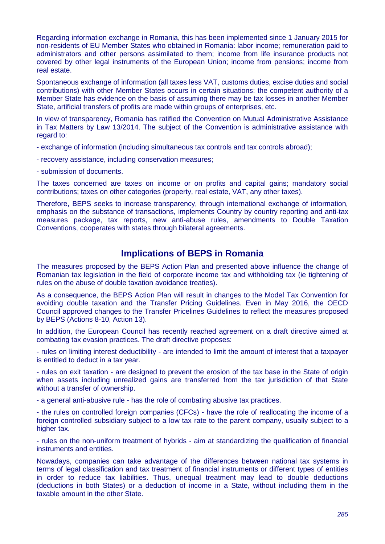Regarding information exchange in Romania, this has been implemented since 1 January 2015 for non-residents of EU Member States who obtained in Romania: labor income; remuneration paid to administrators and other persons assimilated to them; income from life insurance products not covered by other legal instruments of the European Union; income from pensions; income from real estate.

Spontaneous exchange of information (all taxes less VAT, customs duties, excise duties and social contributions) with other Member States occurs in certain situations: the competent authority of a Member State has evidence on the basis of assuming there may be tax losses in another Member State, artificial transfers of profits are made within groups of enterprises, etc.

In view of transparency, Romania has ratified the Convention on Mutual Administrative Assistance in Tax Matters by Law 13/2014. The subject of the Convention is administrative assistance with regard to:

- exchange of information (including simultaneous tax controls and tax controls abroad);

- recovery assistance, including conservation measures;

- submission of documents.

The taxes concerned are taxes on income or on profits and capital gains; mandatory social contributions; taxes on other categories (property, real estate, VAT, any other taxes).

Therefore, BEPS seeks to increase transparency, through international exchange of information, emphasis on the substance of transactions, implements Country by country reporting and anti-tax measures package, tax reports, new anti-abuse rules, amendments to Double Taxation Conventions, cooperates with states through bilateral agreements.

## **Implications of BEPS in Romania**

The measures proposed by the BEPS Action Plan and presented above influence the change of Romanian tax legislation in the field of corporate income tax and withholding tax (ie tightening of rules on the abuse of double taxation avoidance treaties).

As a consequence, the BEPS Action Plan will result in changes to the Model Tax Convention for avoiding double taxation and the Transfer Pricing Guidelines. Even in May 2016, the OECD Council approved changes to the Transfer Pricelines Guidelines to reflect the measures proposed by BEPS (Actions 8-10, Action 13).

In addition, the European Council has recently reached agreement on a draft directive aimed at combating tax evasion practices. The draft directive proposes:

- rules on limiting interest deductibility - are intended to limit the amount of interest that a taxpayer is entitled to deduct in a tax year.

- rules on exit taxation - are designed to prevent the erosion of the tax base in the State of origin when assets including unrealized gains are transferred from the tax jurisdiction of that State without a transfer of ownership.

- a general anti-abusive rule - has the role of combating abusive tax practices.

- the rules on controlled foreign companies (CFCs) - have the role of reallocating the income of a foreign controlled subsidiary subject to a low tax rate to the parent company, usually subject to a higher tax.

- rules on the non-uniform treatment of hybrids - aim at standardizing the qualification of financial instruments and entities.

Nowadays, companies can take advantage of the differences between national tax systems in terms of legal classification and tax treatment of financial instruments or different types of entities in order to reduce tax liabilities. Thus, unequal treatment may lead to double deductions (deductions in both States) or a deduction of income in a State, without including them in the taxable amount in the other State.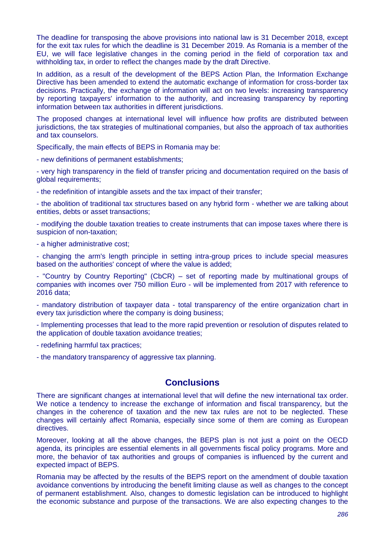The deadline for transposing the above provisions into national law is 31 December 2018, except for the exit tax rules for which the deadline is 31 December 2019. As Romania is a member of the EU, we will face legislative changes in the coming period in the field of corporation tax and withholding tax, in order to reflect the changes made by the draft Directive.

In addition, as a result of the development of the BEPS Action Plan, the Information Exchange Directive has been amended to extend the automatic exchange of information for cross-border tax decisions. Practically, the exchange of information will act on two levels: increasing transparency by reporting taxpayers' information to the authority, and increasing transparency by reporting information between tax authorities in different jurisdictions.

The proposed changes at international level will influence how profits are distributed between jurisdictions, the tax strategies of multinational companies, but also the approach of tax authorities and tax counselors.

Specifically, the main effects of BEPS in Romania may be:

- new definitions of permanent establishments;

- very high transparency in the field of transfer pricing and documentation required on the basis of global requirements;

- the redefinition of intangible assets and the tax impact of their transfer;

- the abolition of traditional tax structures based on any hybrid form - whether we are talking about entities, debts or asset transactions;

- modifying the double taxation treaties to create instruments that can impose taxes where there is suspicion of non-taxation;

- a higher administrative cost;

- changing the arm's length principle in setting intra-group prices to include special measures based on the authorities' concept of where the value is added;

- "Country by Country Reporting" (CbCR) – set of reporting made by multinational groups of companies with incomes over 750 million Euro - will be implemented from 2017 with reference to 2016 data;

- mandatory distribution of taxpayer data - total transparency of the entire organization chart in every tax jurisdiction where the company is doing business;

- Implementing processes that lead to the more rapid prevention or resolution of disputes related to the application of double taxation avoidance treaties;

- redefining harmful tax practices;

- the mandatory transparency of aggressive tax planning.

### **Conclusions**

There are significant changes at international level that will define the new international tax order. We notice a tendency to increase the exchange of information and fiscal transparency, but the changes in the coherence of taxation and the new tax rules are not to be neglected. These changes will certainly affect Romania, especially since some of them are coming as European directives.

Moreover, looking at all the above changes, the BEPS plan is not just a point on the OECD agenda, its principles are essential elements in all governments fiscal policy programs. More and more, the behavior of tax authorities and groups of companies is influenced by the current and expected impact of BEPS.

Romania may be affected by the results of the BEPS report on the amendment of double taxation avoidance conventions by introducing the benefit limiting clause as well as changes to the concept of permanent establishment. Also, changes to domestic legislation can be introduced to highlight the economic substance and purpose of the transactions. We are also expecting changes to the